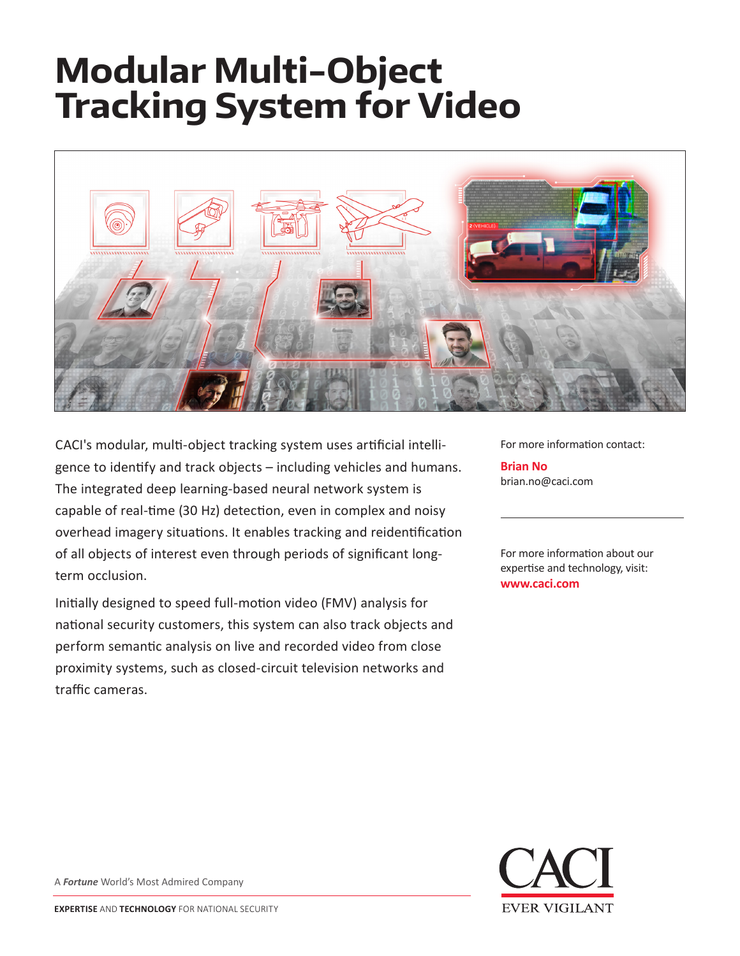## **Modular Multi-Object Tracking System for Video**



CACI's modular, multi-object tracking system uses artificial intelligence to identify and track objects – including vehicles and humans. The integrated deep learning-based neural network system is capable of real-time (30 Hz) detection, even in complex and noisy overhead imagery situations. It enables tracking and reidentification of all objects of interest even through periods of significant longterm occlusion.

Initially designed to speed full-motion video (FMV) analysis for national security customers, this system can also track objects and perform semantic analysis on live and recorded video from close proximity systems, such as closed-circuit television networks and traffic cameras.

For more information contact:

**Brian No**  brian.no@caci.com

For more information about our expertise and technology, visit: **www.caci.com**



A *Fortune* World's Most Admired Company